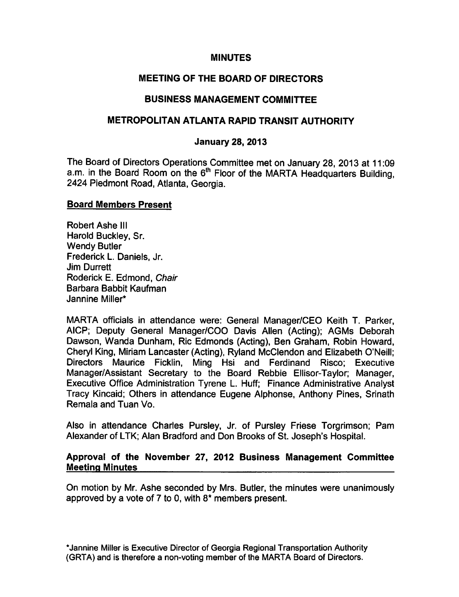## MINUTES

# MEETING OF THE BOARD OF DIRECTORS

# BUSINESS MANAGEMENT COMMITTEE

## METROPOLITAN ATLANTA RAPID TRANSIT AUTHORITY

## January 28, 2013

The Board of Directors Operations Committee met on January 28, 2013 at 11:09 a.m. in the Board Room on the 6<sup>th</sup> Floor of the MARTA Headquarters Building, 2424 Piedmont Road, Atlanta, Georgia.

### Board Members Present

Robert Ashe III Harold Buckley, Sr. Wendy Butler Frederick L. Daniels, Jr. Jim Durrett Roderick E. Edmond, Chair Barbara Babbit Kaufman Jannine Miller\*

MARTA officials in attendance were: General Manager/CEO Keith T. Parker, AICP; Deputy General Manager/COO Davis Allen (Acting); AGMs Deborah Dawson, Wanda Dunham, Ric Edmonds (Acting), Ben Graham, Robin Howard, Cheryl King, Miriam Lancaster (Acting), Ryland McClendon and Elizabeth O'Neill; Directors Maurice Ficklin, Ming Hsi and Ferdinand Risco; Executive Manager/Assistant Secretary to the Board Rebbie Ellisor-Taylor; Manager, Executive Office Administration Tyrene L. Huff; Finance Administrative Analyst Tracy Kincaid; Others in attendance Eugene Alphonse, Anthony Pines, Srinath Remala and Tuan Vo.

Also in attendance Charles Pursley, Jr. of Pursley Friese Torgrimson; Pam Alexander of LTK; Alan Bradford and Don Brooks of St. Joseph's Hospital.

#### Approval of the November 27, 2012 Business Management Committee Meeting Minutes

On motion by Mr. Ashe seconded by Mrs. Butler, the minutes were unanimously approved by a vote of  $7$  to 0, with  $8*$  members present.

\*Jannine Miller is Executive Director of Georgia Regional Transportation Authority (GRTA) and is therefore a non-voting member of the MARTA Board of Directors.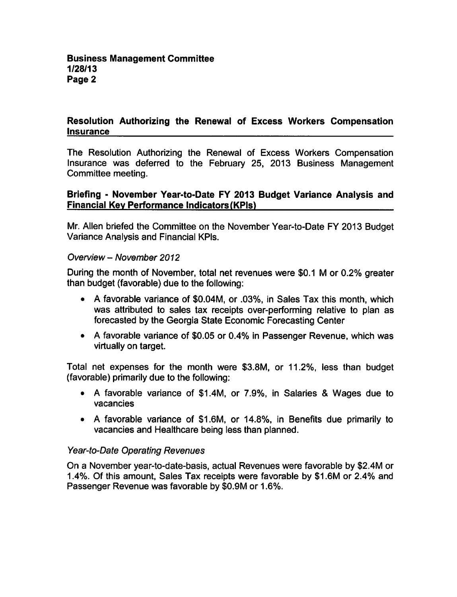## Resolution Authorizing the Renewal of Excess Workers Compensation Insurance

The Resolution Authorizing the Renewal of Excess Workers Compensation Insurance was deferred to the February 25, 2013 Business Management Committee meeting.

## Briefing - November Year-to-Date FY 2013 Budget Variance Analysis and Financial Key Performance Indicators (KPls)

Mr. Allen briefed the Committee on the November Year-to-Date FY 2013 Budget Variance Analysis and Financial KPIs.

### Overview - November 2012

During the month of November, total net revenues were \$0.1 M or 0.2% greater than budget (favorable) due to the following:

- A favorable variance of \$0.04M, or .03%, in Sales Tax this month, which was attributed to sales tax receipts over-performing relative to plan as forecasted by the Georgia State Economic Forecasting Center
- A favorable variance of \$0.05 or 0.4% in Passenger Revenue, which was virtually on target.

Total net expenses for the month were \$3.8M, or 11.2%, less than budget (favorable) primarily due to the following:

- A favorable variance of \$1.4M, or 7.9%, in Salaries & Wages due to vacancies
- A favorable variance of \$1.6M, or 14.8%, in Benefits due primarily to vacancies and Healthcare being less than planned.

### Year-to-Date Operating Revenues

On a November year-to-date-basis, actual Revenues were favorable by \$2.4M or 1.4%. Of this amount, Sales Tax receipts were favorable by \$1.6M or 2.4% and Passenger Revenue was favorable by \$0.9M or 1.6%.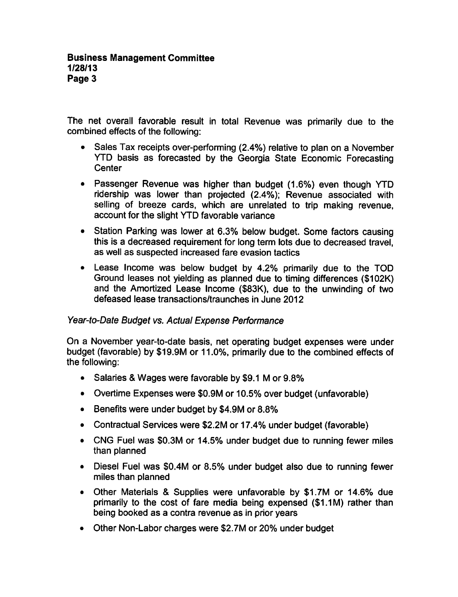The net overall favorable result in total Revenue was primarily due to the combined effects of the following:

- Sales Tax receipts over-performing (2.4%) relative to plan on a November YTD basis as forecasted by the Georgia State Economic Forecasting **Center**
- Passenger Revenue was higher than budget (1.6%) even though YTD ridership was lower than projected (2.4%); Revenue associated with selling of breeze cards, which are unrelated to trip making revenue, account for the slight YTD favorable variance
- Station Parking was lower at 6.3% below budget. Some factors causing this is decreased requirement for long term lots due to decreased travel, as well as suspected increased fare evasion tactics
- Lease Income was below budget by 4.2% primarily due to the TOD Ground leases not yielding as planned due to timing differences (\$102K) and the Amortized Lease Income (\$83K), due to the unwinding of two defeased lease transactions/traunches in June 2012

# Year-to-Date Budget vs. Actual Expense Performance

On a November year-to-date basis, net operating budget expenses were under budget (favorable) by \$19.9M or 11.0%, primarily due to the combined effects of the following:

- Salaries & Wages were favorable by \$9.1 M or  $9.8\%$
- Overtime Expenses were \$0.9M or 10.5% over budget (unfavorable)
- Benefits were under budget by \$4.9M or 8.8%
- Contractual Services were \$2.2M or 17.4% under budget (favorable)
- CNG Fuel was \$0.3M or 14.5% under budget due to running fewer miles than planned
- Diesel Fuel was \$0.4M or 8.5% under budget also due to running fewer miles than planned
- Other Materials & Supplies were unfavorable by \$1.7M or 14.6% due primarily to the cost of fare media being expensed (\$1.1M) rather than being booked as contra revenue as in prior years
- Other Non-Labor charges were \$2.7M or 20% under budget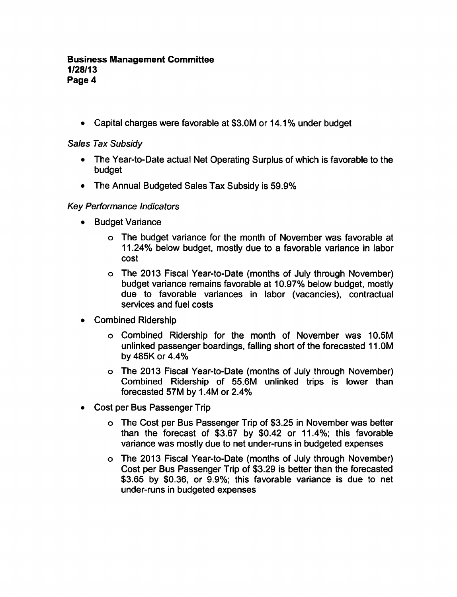#### Business Management Committee 1/28/13 Page 4

• Capital charges were favorable at \$3.0M or 14.1% under budget

Sales Tax Subsidy

- The Year-to-Date actual Net Operating Surplus of which is favorable to the budget
- The Annual Budgeted Sales Tax Subsidy is 59.9%

## Key Performance Indicators

- **•** Budget Variance
	- The budget variance for the month of November was favorable at 11.24% below budget, mostly due to a favorable variance in labor cost
	- The 2013 Fiscal Year-to-Date (months of July through November) budget variance remains favorable at 10.97% below budget, mostly due to favorable variances in labor (vacancies), contractual services and fuel costs
- Combined Ridership
	- Combined Ridership for the month of November was 10.5M unlinked passenger boardings, falling short of the forecasted 11.0M by 485K or 4.4%
	- The 2013 Fiscal Year-to-Date (months of July through November) Combined Ridership of 55.6M unlinked trips is lower than forecasted 57M by 1.4M or 2.4%
- Cost per Bus Passenger Trip
	- The Cost per Bus Passenger Trip of \$3.25 in November was better than the forecast of \$3.67 by \$0.42 or 11.4%; this favorable variance was mostly due to net under-runs in budgeted expenses
	- The 2013 Fiscal Year-to-Date (months of July through November) Cost per Bus Passenger Trip of \$3.29 is better than the forecasted \$3.65 by \$0.36, or 9.9%; this favorable variance is due to net under-runs in budgeted expenses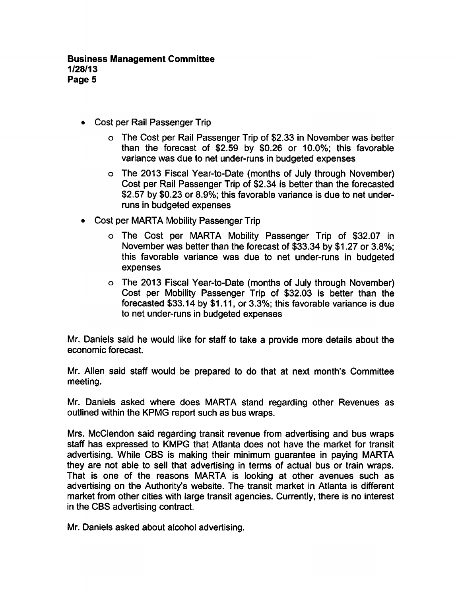- Cost per Rail Passenger Trip
	- The Cost per Rail Passenger Trip of \$2.33 in November was better than the forecast of \$2.59 by \$0.26 or 10.0%; this favorable variance was due to net under-runs in budgeted expenses
	- The 2013 Fiscal Year-to-Date (months of July through November) Cost per Rail Passenger Trip of \$2.34 is better than the forecasted \$2.57 by \$0.23 or 8.9%; this favorable variance is due to net underruns in budgeted expenses
- Cost per MARTA Mobility Passenger Trip
	- The Cost per MARTA Mobility Passenger Trip of \$32.07 in November was better than the forecast of \$33.34 by \$1.27 or 3.8%; this favorable variance was due to net under-runs in budgeted expenses
	- The 2013 Fiscal Year-to-Date (months of July through November) Cost per Mobility Passenger Trip of \$32.03 is better than the forecasted \$33.14 by \$1.11, or 3.3%; this favorable variance is due to net under-runs in budgeted expenses

Mr. Daniels said he would like for staff to take a provide more details about the economic forecast.

Mr. Allen said staff would be prepared to do that at next month's Committee meeting.

Mr. Daniels asked where does MARTA stand regarding other Revenues as outlined within the KPMG report such as bus wraps.

Mrs. McClendon said regarding transit revenue from advertising and bus wraps staff has expressed to KMPG that Atlanta does not have the market for transit advertising. While CBS is making their minimum guarantee in paying MARTA they are not able to sell that advertising in terms of actual bus or train wraps. That is one of the reasons MARTA is looking at other avenues such as advertising on the Authority's website. The transit market in Atlanta is different market from other cities with large transit agencies. Currently, there is no interest in the CBS advertising contract.

Mr. Daniels asked about alcohol advertising.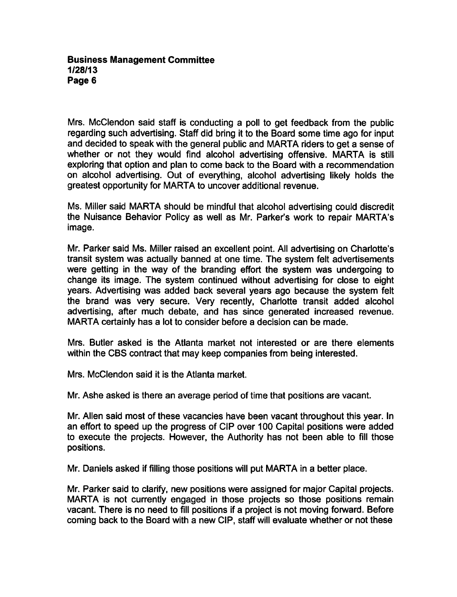#### Business Management Committee 1/28/13 Page 6

Mrs. McClendon said staff is conducting a poll to get feedback from the public regarding such advertising. Staff did bring it to the Board some time ago for input and decided to speak with the general public and MARTA riders to get a sense of whether or not they would find alcohol advertising offensive. MARTA is still exploring that option and plan to come back to the Board with a recommendation on alcohol advertising. Out of everything, alcohol advertising likely holds the greatest opportunity for MARTA to uncover additional revenue.

Ms. Miller said MARTA should be mindful that alcohol advertising could discredit the Nuisance Behavior Policy as well as Mr. Parker's work to repair MARTA's image.

Mr. Parker said Ms. Miller raised an excellent point. All advertising on Charlotte's transit system was actually banned at one time. The system felt advertisements were getting in the way of the branding effort the system was undergoing to change its image. The system continued without advertising for close to eight years. Advertising was added back several years ago because the system felt the brand was very secure. Very recently, Charlotte transit added alcohol advertising, after much debate, and has since generated increased revenue. MARTA certainly has a lot to consider before a decision can be made.

Mrs. Butler asked is the Atlanta market not interested or are there elements within the CBS contract that may keep companies from being interested.

Mrs. McClendon said it is the Atlanta market.

Mr. Ashe asked is there an average period of time that positions are vacant.

Mr. Allen said most of these vacancies have been vacant throughout this year. In an effort to speed up the progress of CIP over 100 Capital positions were added to execute the projects. However, the Authority has not been able to fill those positions.

Mr. Daniels asked if filling those positions will put MARTA in a better place.

Mr. Parker said to clarify, new positions were assigned for major Capital projects. MARTA is not currently engaged in those projects so those positions remain vacant. There is no need to fill positions if a project is not moving forward. Before coming back to the Board with a new CIP, staff will evaluate whether or not these